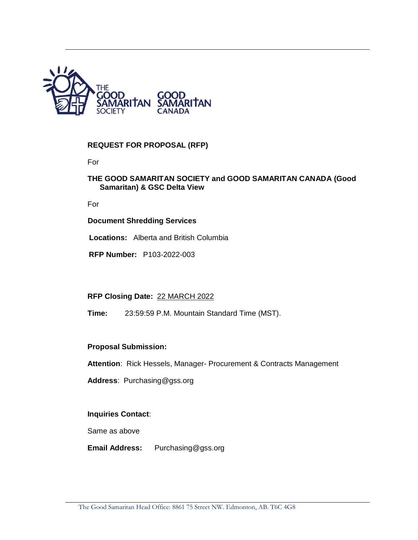

## **REQUEST FOR PROPOSAL (RFP)**

For

### **THE GOOD SAMARITAN SOCIETY and GOOD SAMARITAN CANADA (Good Samaritan) & GSC Delta View**

For

#### **Document Shredding Services**

**Locations:** Alberta and British Columbia

**RFP Number:** P103-2022-003

**RFP Closing Date:** 22 MARCH 2022

**Time:** 23:59:59 P.M. Mountain Standard Time (MST).

### **Proposal Submission:**

**Attention**: Rick Hessels, Manager- Procurement & Contracts Management

**Address**: Purchasing@gss.org

#### **Inquiries Contact**:

Same as above

**Email Address:** Purchasing@gss.org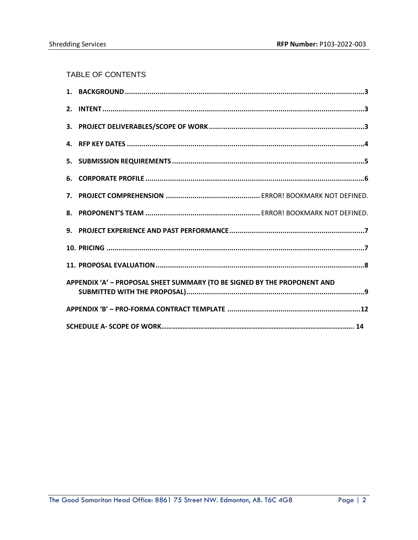# TABLE OF CONTENTS

| APPENDIX 'A' - PROPOSAL SHEET SUMMARY (TO BE SIGNED BY THE PROPONENT AND |  |  |  |  |  |
|--------------------------------------------------------------------------|--|--|--|--|--|
|                                                                          |  |  |  |  |  |
|                                                                          |  |  |  |  |  |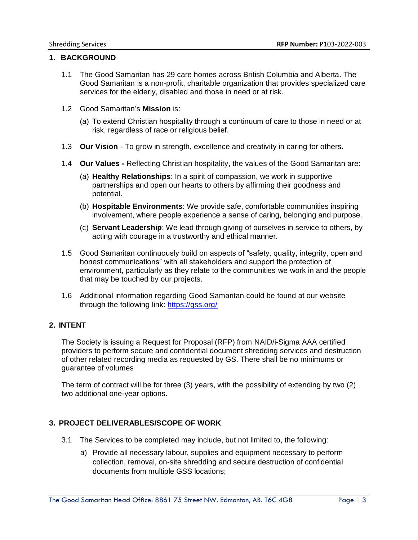### <span id="page-2-0"></span>**1. BACKGROUND**

- 1.1 The Good Samaritan has 29 care homes across British Columbia and Alberta. The Good Samaritan is a non-profit, charitable organization that provides specialized care services for the elderly, disabled and those in need or at risk.
- 1.2 Good Samaritan's **Mission** is:
	- (a) To extend Christian hospitality through a continuum of care to those in need or at risk, regardless of race or religious belief.
- 1.3 **Our Vision** To grow in strength, excellence and creativity in caring for others.
- 1.4 **Our Values -** Reflecting Christian hospitality, the values of the Good Samaritan are:
	- (a) **Healthy Relationships**: In a spirit of compassion, we work in supportive partnerships and open our hearts to others by affirming their goodness and potential.
	- (b) **Hospitable Environments**: We provide safe, comfortable communities inspiring involvement, where people experience a sense of caring, belonging and purpose.
	- (c) **Servant Leadership**: We lead through giving of ourselves in service to others, by acting with courage in a trustworthy and ethical manner.
- 1.5 Good Samaritan continuously build on aspects of "safety, quality, integrity, open and honest communications" with all stakeholders and support the protection of environment, particularly as they relate to the communities we work in and the people that may be touched by our projects.
- 1.6 Additional information regarding Good Samaritan could be found at our website through the following link:<https://gss.org/>

### <span id="page-2-1"></span>**2. INTENT**

The Society is issuing a Request for Proposal (RFP) from NAID/i-Sigma AAA certified providers to perform secure and confidential document shredding services and destruction of other related recording media as requested by GS. There shall be no minimums or guarantee of volumes

The term of contract will be for three (3) years, with the possibility of extending by two (2) two additional one-year options.

### <span id="page-2-2"></span>**3. PROJECT DELIVERABLES/SCOPE OF WORK**

- 3.1 The Services to be completed may include, but not limited to, the following:
	- a) Provide all necessary labour, supplies and equipment necessary to perform collection, removal, on-site shredding and secure destruction of confidential documents from multiple GSS locations;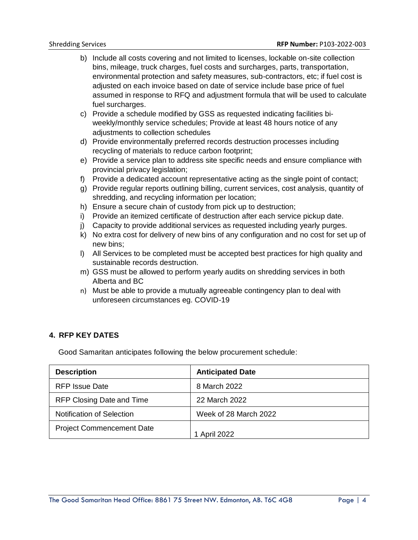- b) Include all costs covering and not limited to licenses, lockable on-site collection bins, mileage, truck charges, fuel costs and surcharges, parts, transportation, environmental protection and safety measures, sub-contractors, etc; if fuel cost is adjusted on each invoice based on date of service include base price of fuel assumed in response to RFQ and adjustment formula that will be used to calculate fuel surcharges.
- c) Provide a schedule modified by GSS as requested indicating facilities biweekly/monthly service schedules; Provide at least 48 hours notice of any adjustments to collection schedules
- d) Provide environmentally preferred records destruction processes including recycling of materials to reduce carbon footprint;
- e) Provide a service plan to address site specific needs and ensure compliance with provincial privacy legislation;
- f) Provide a dedicated account representative acting as the single point of contact;
- g) Provide regular reports outlining billing, current services, cost analysis, quantity of shredding, and recycling information per location;
- h) Ensure a secure chain of custody from pick up to destruction;
- i) Provide an itemized certificate of destruction after each service pickup date.
- j) Capacity to provide additional services as requested including yearly purges.
- k) No extra cost for delivery of new bins of any configuration and no cost for set up of new bins;
- l) All Services to be completed must be accepted best practices for high quality and sustainable records destruction.
- m) GSS must be allowed to perform yearly audits on shredding services in both Alberta and BC
- n) Must be able to provide a mutually agreeable contingency plan to deal with unforeseen circumstances eg. COVID-19

### <span id="page-3-0"></span>**4. RFP KEY DATES**

Good Samaritan anticipates following the below procurement schedule:

| <b>Description</b>               | <b>Anticipated Date</b> |
|----------------------------------|-------------------------|
| <b>RFP Issue Date</b>            | 8 March 2022            |
| RFP Closing Date and Time        | 22 March 2022           |
| <b>Notification of Selection</b> | Week of 28 March 2022   |
| <b>Project Commencement Date</b> | 1 April 2022            |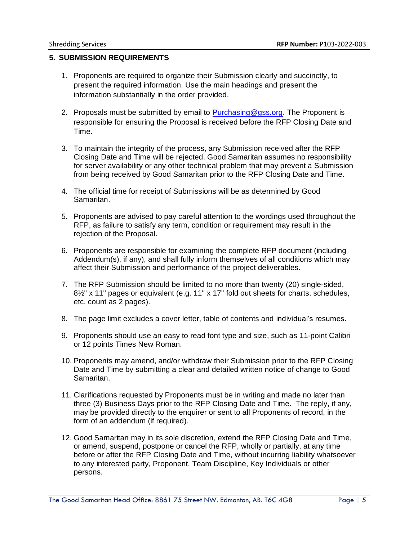#### <span id="page-4-0"></span>**5. SUBMISSION REQUIREMENTS**

- 1. Proponents are required to organize their Submission clearly and succinctly, to present the required information. Use the main headings and present the information substantially in the order provided.
- 2. Proposals must be submitted by email to **Purchasing@gss.org**. The Proponent is responsible for ensuring the Proposal is received before the RFP Closing Date and Time.
- 3. To maintain the integrity of the process, any Submission received after the RFP Closing Date and Time will be rejected. Good Samaritan assumes no responsibility for server availability or any other technical problem that may prevent a Submission from being received by Good Samaritan prior to the RFP Closing Date and Time.
- 4. The official time for receipt of Submissions will be as determined by Good Samaritan.
- 5. Proponents are advised to pay careful attention to the wordings used throughout the RFP, as failure to satisfy any term, condition or requirement may result in the rejection of the Proposal.
- 6. Proponents are responsible for examining the complete RFP document (including Addendum(s), if any), and shall fully inform themselves of all conditions which may affect their Submission and performance of the project deliverables.
- 7. The RFP Submission should be limited to no more than twenty (20) single-sided, 8½" x 11" pages or equivalent (e.g. 11" x 17" fold out sheets for charts, schedules, etc. count as 2 pages).
- 8. The page limit excludes a cover letter, table of contents and individual's resumes.
- 9. Proponents should use an easy to read font type and size, such as 11-point Calibri or 12 points Times New Roman.
- 10. Proponents may amend, and/or withdraw their Submission prior to the RFP Closing Date and Time by submitting a clear and detailed written notice of change to Good Samaritan.
- 11. Clarifications requested by Proponents must be in writing and made no later than three (3) Business Days prior to the RFP Closing Date and Time. The reply, if any, may be provided directly to the enquirer or sent to all Proponents of record, in the form of an addendum (if required).
- 12. Good Samaritan may in its sole discretion, extend the RFP Closing Date and Time, or amend, suspend, postpone or cancel the RFP, wholly or partially, at any time before or after the RFP Closing Date and Time, without incurring liability whatsoever to any interested party, Proponent, Team Discipline, Key Individuals or other persons.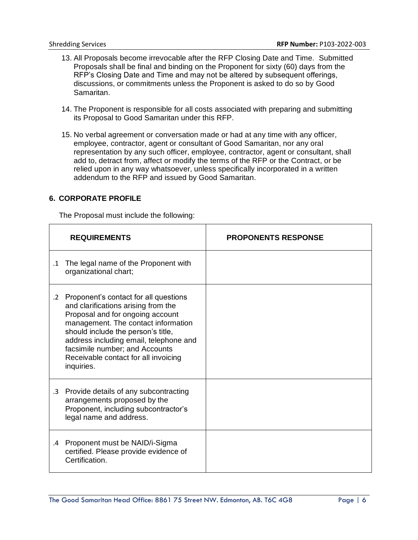- 13. All Proposals become irrevocable after the RFP Closing Date and Time. Submitted Proposals shall be final and binding on the Proponent for sixty (60) days from the RFP's Closing Date and Time and may not be altered by subsequent offerings, discussions, or commitments unless the Proponent is asked to do so by Good Samaritan.
- 14. The Proponent is responsible for all costs associated with preparing and submitting its Proposal to Good Samaritan under this RFP.
- 15. No verbal agreement or conversation made or had at any time with any officer, employee, contractor, agent or consultant of Good Samaritan, nor any oral representation by any such officer, employee, contractor, agent or consultant, shall add to, detract from, affect or modify the terms of the RFP or the Contract, or be relied upon in any way whatsoever, unless specifically incorporated in a written addendum to the RFP and issued by Good Samaritan.

### <span id="page-5-0"></span>**6. CORPORATE PROFILE**

The Proposal must include the following:

|            | <b>REQUIREMENTS</b>                                                                                                                                                                                                                                                                                                             | <b>PROPONENTS RESPONSE</b> |
|------------|---------------------------------------------------------------------------------------------------------------------------------------------------------------------------------------------------------------------------------------------------------------------------------------------------------------------------------|----------------------------|
| $\cdot$ 1  | The legal name of the Proponent with<br>organizational chart;                                                                                                                                                                                                                                                                   |                            |
| $\cdot$ .2 | Proponent's contact for all questions<br>and clarifications arising from the<br>Proposal and for ongoing account<br>management. The contact information<br>should include the person's title,<br>address including email, telephone and<br>facsimile number; and Accounts<br>Receivable contact for all invoicing<br>inquiries. |                            |
| $\cdot$ 3  | Provide details of any subcontracting<br>arrangements proposed by the<br>Proponent, including subcontractor's<br>legal name and address.                                                                                                                                                                                        |                            |
| $.4\,$     | Proponent must be NAID/i-Sigma<br>certified. Please provide evidence of<br>Certification.                                                                                                                                                                                                                                       |                            |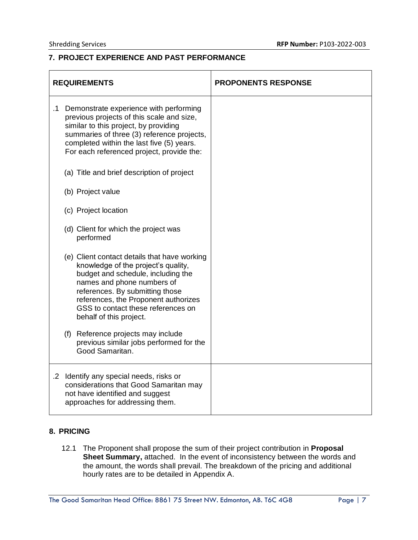## <span id="page-6-0"></span>**7. PROJECT EXPERIENCE AND PAST PERFORMANCE**

|           | <b>REQUIREMENTS</b>                                                                                                                                                                                                                                                                                 | <b>PROPONENTS RESPONSE</b> |
|-----------|-----------------------------------------------------------------------------------------------------------------------------------------------------------------------------------------------------------------------------------------------------------------------------------------------------|----------------------------|
| $\cdot$ 1 | Demonstrate experience with performing<br>previous projects of this scale and size,<br>similar to this project, by providing<br>summaries of three (3) reference projects,<br>completed within the last five (5) years.<br>For each referenced project, provide the:                                |                            |
|           | (a) Title and brief description of project                                                                                                                                                                                                                                                          |                            |
|           | (b) Project value                                                                                                                                                                                                                                                                                   |                            |
|           | (c) Project location                                                                                                                                                                                                                                                                                |                            |
|           | (d) Client for which the project was<br>performed                                                                                                                                                                                                                                                   |                            |
|           | (e) Client contact details that have working<br>knowledge of the project's quality,<br>budget and schedule, including the<br>names and phone numbers of<br>references. By submitting those<br>references, the Proponent authorizes<br>GSS to contact these references on<br>behalf of this project. |                            |
|           | Reference projects may include<br>(f)<br>previous similar jobs performed for the<br>Good Samaritan.                                                                                                                                                                                                 |                            |
|           | .2 Identify any special needs, risks or<br>considerations that Good Samaritan may<br>not have identified and suggest<br>approaches for addressing them.                                                                                                                                             |                            |

### <span id="page-6-1"></span>**8. PRICING**

12.1 The Proponent shall propose the sum of their project contribution in **Proposal Sheet Summary,** attached. In the event of inconsistency between the words and the amount, the words shall prevail. The breakdown of the pricing and additional hourly rates are to be detailed in Appendix A.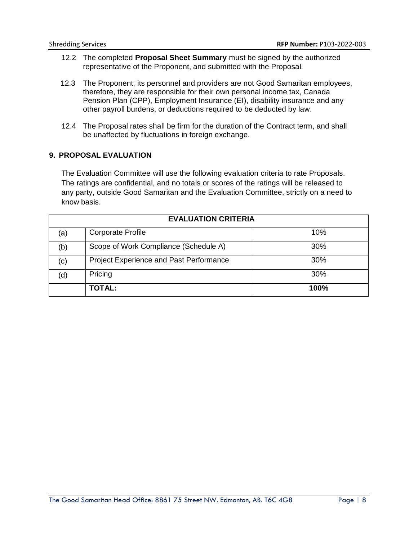- 12.2 The completed **Proposal Sheet Summary** must be signed by the authorized representative of the Proponent, and submitted with the Proposal.
- 12.3 The Proponent, its personnel and providers are not Good Samaritan employees, therefore, they are responsible for their own personal income tax, Canada Pension Plan (CPP), Employment Insurance (EI), disability insurance and any other payroll burdens, or deductions required to be deducted by law.
- 12.4 The Proposal rates shall be firm for the duration of the Contract term, and shall be unaffected by fluctuations in foreign exchange.

### <span id="page-7-0"></span>**9. PROPOSAL EVALUATION**

The Evaluation Committee will use the following evaluation criteria to rate Proposals. The ratings are confidential, and no totals or scores of the ratings will be released to any party, outside Good Samaritan and the Evaluation Committee, strictly on a need to know basis.

| <b>EVALUATION CRITERIA</b> |                                         |      |  |
|----------------------------|-----------------------------------------|------|--|
| (a)                        | <b>Corporate Profile</b>                | 10%  |  |
| (b)                        | Scope of Work Compliance (Schedule A)   | 30%  |  |
| (c)                        | Project Experience and Past Performance | 30%  |  |
| (d)                        | Pricing                                 | 30%  |  |
|                            | <b>TOTAL:</b>                           | 100% |  |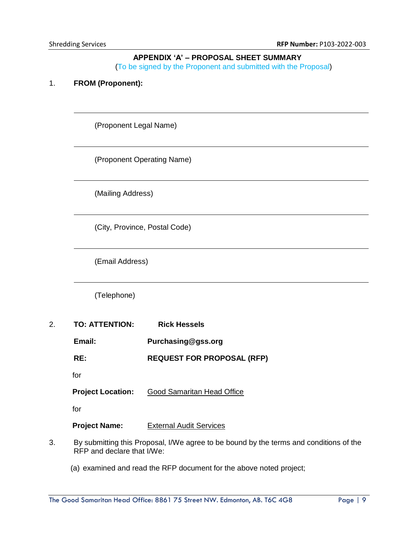### **APPENDIX 'A' – PROPOSAL SHEET SUMMARY**

(To be signed by the Proponent and submitted with the Proposal)

### <span id="page-8-0"></span>1. **FROM (Proponent):**

(Proponent Legal Name)

(Proponent Operating Name)

(Mailing Address)

(City, Province, Postal Code)

(Email Address)

(Telephone)

- 2. **TO: ATTENTION: Rick Hessels**
	- **Email: Purchasing@gss.org**
	- **RE: REQUEST FOR PROPOSAL (RFP)**
	- for

**Project Location:** Good Samaritan Head Office

for

**Project Name:** External Audit Services

- 3. By submitting this Proposal, I/We agree to be bound by the terms and conditions of the RFP and declare that I/We:
	- (a) examined and read the RFP document for the above noted project;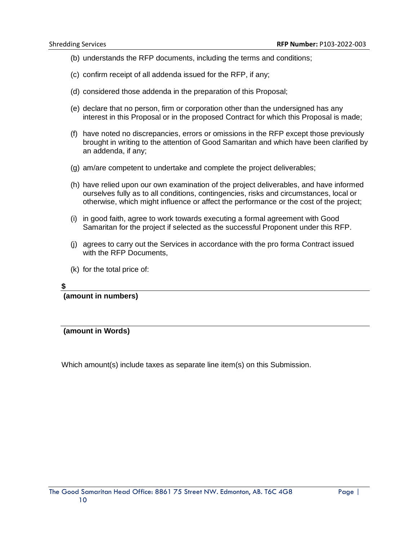- (b) understands the RFP documents, including the terms and conditions;
- (c) confirm receipt of all addenda issued for the RFP, if any;
- (d) considered those addenda in the preparation of this Proposal;
- (e) declare that no person, firm or corporation other than the undersigned has any interest in this Proposal or in the proposed Contract for which this Proposal is made;
- (f) have noted no discrepancies, errors or omissions in the RFP except those previously brought in writing to the attention of Good Samaritan and which have been clarified by an addenda, if any;
- (g) am/are competent to undertake and complete the project deliverables;
- (h) have relied upon our own examination of the project deliverables, and have informed ourselves fully as to all conditions, contingencies, risks and circumstances, local or otherwise, which might influence or affect the performance or the cost of the project;
- (i) in good faith, agree to work towards executing a formal agreement with Good Samaritan for the project if selected as the successful Proponent under this RFP.
- (j) agrees to carry out the Services in accordance with the pro forma Contract issued with the RFP Documents.
- (k) for the total price of:

#### **\$**

**(amount in numbers)**

**(amount in Words)**

Which amount(s) include taxes as separate line item(s) on this Submission.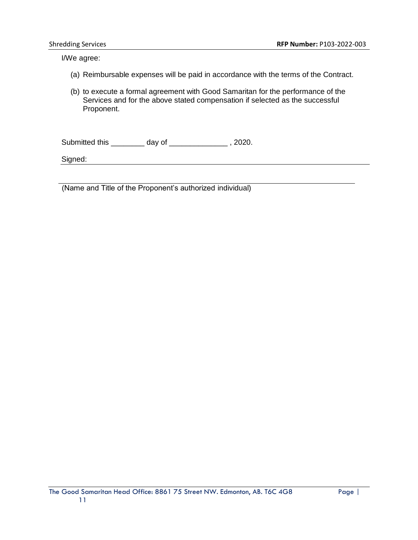I/We agree:

- (a) Reimbursable expenses will be paid in accordance with the terms of the Contract.
- (b) to execute a formal agreement with Good Samaritan for the performance of the Services and for the above stated compensation if selected as the successful Proponent.

Submitted this \_\_\_\_\_\_\_\_ day of \_\_\_\_\_\_\_\_\_\_\_\_\_\_ , 2020.

Signed:

(Name and Title of the Proponent's authorized individual)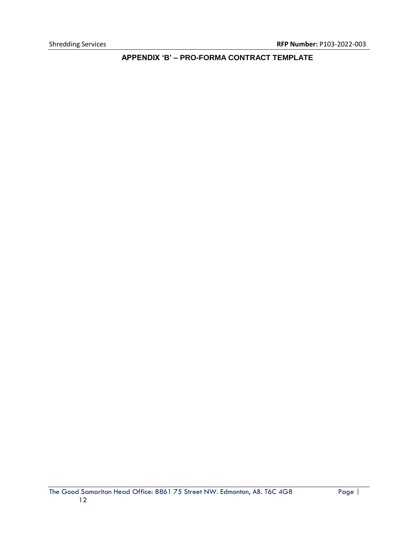<span id="page-11-0"></span>**APPENDIX 'B' – PRO-FORMA CONTRACT TEMPLATE**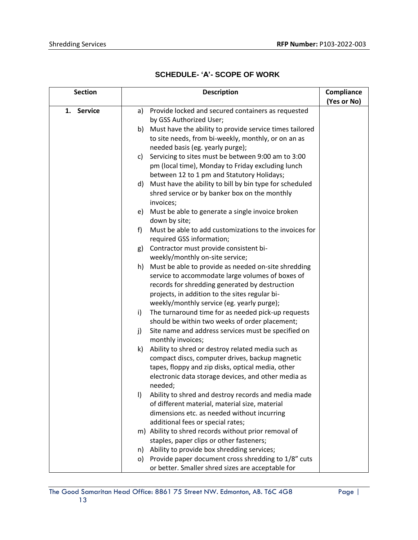| <b>SCHEDULE- 'A'- SCOPE OF WORK</b> |  |
|-------------------------------------|--|
|                                     |  |

| <b>Section</b>       | <b>Description</b>                                                                  | Compliance  |
|----------------------|-------------------------------------------------------------------------------------|-------------|
|                      |                                                                                     | (Yes or No) |
| <b>Service</b><br>1. | Provide locked and secured containers as requested<br>a)<br>by GSS Authorized User; |             |
|                      | b) Must have the ability to provide service times tailored                          |             |
|                      | to site needs, from bi-weekly, monthly, or on an as                                 |             |
|                      | needed basis (eg. yearly purge);                                                    |             |
|                      | Servicing to sites must be between 9:00 am to 3:00<br>C)                            |             |
|                      | pm (local time), Monday to Friday excluding lunch                                   |             |
|                      | between 12 to 1 pm and Statutory Holidays;                                          |             |
|                      | d) Must have the ability to bill by bin type for scheduled                          |             |
|                      | shred service or by banker box on the monthly<br>invoices;                          |             |
|                      | Must be able to generate a single invoice broken<br>e)                              |             |
|                      | down by site;                                                                       |             |
|                      | Must be able to add customizations to the invoices for<br>f                         |             |
|                      | required GSS information;                                                           |             |
|                      | Contractor must provide consistent bi-<br>g)                                        |             |
|                      | weekly/monthly on-site service;                                                     |             |
|                      | Must be able to provide as needed on-site shredding<br>h)                           |             |
|                      | service to accommodate large volumes of boxes of                                    |             |
|                      | records for shredding generated by destruction                                      |             |
|                      | projects, in addition to the sites regular bi-                                      |             |
|                      | weekly/monthly service (eg. yearly purge);                                          |             |
|                      | The turnaround time for as needed pick-up requests<br>i)                            |             |
|                      | should be within two weeks of order placement;                                      |             |
|                      | Site name and address services must be specified on<br>j)<br>monthly invoices;      |             |
|                      | k)<br>Ability to shred or destroy related media such as                             |             |
|                      | compact discs, computer drives, backup magnetic                                     |             |
|                      | tapes, floppy and zip disks, optical media, other                                   |             |
|                      | electronic data storage devices, and other media as                                 |             |
|                      | needed;                                                                             |             |
|                      | Ability to shred and destroy records and media made<br>$\vert$                      |             |
|                      | of different material, material size, material                                      |             |
|                      | dimensions etc. as needed without incurring                                         |             |
|                      | additional fees or special rates;                                                   |             |
|                      | m) Ability to shred records without prior removal of                                |             |
|                      | staples, paper clips or other fasteners;                                            |             |
|                      | n) Ability to provide box shredding services;                                       |             |
|                      | o) Provide paper document cross shredding to 1/8" cuts                              |             |
|                      | or better. Smaller shred sizes are acceptable for                                   |             |